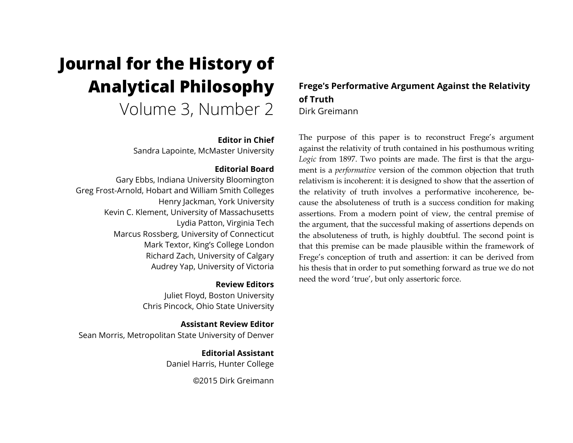# **Journal for the History of Analytical Philosophy**

Volume 3, Number 2

# **Editor in Chief**

Sandra Lapointe, McMaster University

# **Editorial Board**

Gary Ebbs, Indiana University Bloomington Greg Frost-Arnold, Hobart and William Smith Colleges Henry Jackman, York University Kevin C. Klement, University of Massachusetts Lydia Patton, Virginia Tech Marcus Rossberg, University of Connecticut Mark Textor, King's College London Richard Zach, University of Calgary Audrey Yap, University of Victoria

# **Review Editors**

Juliet Floyd, Boston University Chris Pincock, Ohio State University

**Assistant Review Editor** Sean Morris, Metropolitan State University of Denver

> **Editorial Assistant** Daniel Harris, Hunter College

> > ©2015 Dirk Greimann

# **Frege**'**s Performative Argument Against the Relativity of Truth** Dirk Greimann

The purpose of this paper is to reconstruct Frege's argument against the relativity of truth contained in his posthumous writing *Logic* from 1897. Two points are made. The first is that the argument is a *performative* version of the common objection that truth relativism is incoherent: it is designed to show that the assertion of the relativity of truth involves a performative incoherence, because the absoluteness of truth is a success condition for making assertions. From a modern point of view, the central premise of the argument, that the successful making of assertions depends on the absoluteness of truth, is highly doubtful. The second point is that this premise can be made plausible within the framework of Frege's conception of truth and assertion: it can be derived from his thesis that in order to put something forward as true we do not need the word 'true', but only assertoric force.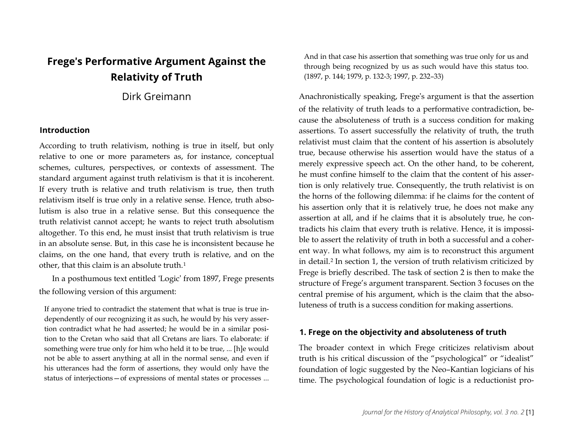# **Frege**'**s Performative Argument Against the Relativity of Truth**

Dirk Greimann

#### **Introduction**

According to truth relativism, nothing is true in itself, but only relative to one or more parameters as, for instance, conceptual schemes, cultures, perspectives, or contexts of assessment. The standard argument against truth relativism is that it is incoherent. If every truth is relative and truth relativism is true, then truth relativism itself is true only in a relative sense. Hence, truth absolutism is also true in a relative sense. But this consequence the truth relativist cannot accept; he wants to reject truth absolutism altogether. To this end, he must insist that truth relativism is true in an absolute sense. But, in this case he is inconsistent because he claims, on the one hand, that every truth is relative, and on the other, that this claim is an absolute truth.[1](#page-14-0)

In a posthumous text entitled 'Logic' from 1897, Frege presents the following version of this argument:

If anyone tried to contradict the statement that what is true is true independently of our recognizing it as such, he would by his very assertion contradict what he had asserted; he would be in a similar position to the Cretan who said that all Cretans are liars. To elaborate: if something were true only for him who held it to be true, ... [h]e would not be able to assert anything at all in the normal sense, and even if his utterances had the form of assertions, they would only have the status of interjections—of expressions of mental states or processes ...

And in that case his assertion that something was true only for us and through being recognized by us as such would have this status too. (1897, p. 144; 1979, p. 132-3; 1997, p. 232–33)

Anachronistically speaking, Frege's argument is that the assertion of the relativity of truth leads to a performative contradiction, because the absoluteness of truth is a success condition for making assertions. To assert successfully the relativity of truth, the truth relativist must claim that the content of his assertion is absolutely true, because otherwise his assertion would have the status of a merely expressive speech act. On the other hand, to be coherent, he must confine himself to the claim that the content of his assertion is only relatively true. Consequently, the truth relativist is on the horns of the following dilemma: if he claims for the content of his assertion only that it is relatively true, he does not make any assertion at all, and if he claims that it is absolutely true, he contradicts his claim that every truth is relative. Hence, it is impossible to assert the relativity of truth in both a successful and a coherent way. In what follows, my aim is to reconstruct this argument in detail.[2](#page-15-0) In section 1, the version of truth relativism criticized by Frege is briefly described. The task of section 2 is then to make the structure of Frege's argument transparent. Section 3 focuses on the central premise of his argument, which is the claim that the absoluteness of truth is a success condition for making assertions.

## **1. Frege on the objectivity and absoluteness of truth**

The broader context in which Frege criticizes relativism about truth is his critical discussion of the "psychological" or "idealist" foundation of logic suggested by the Neo–Kantian logicians of his time. The psychological foundation of logic is a reductionist pro-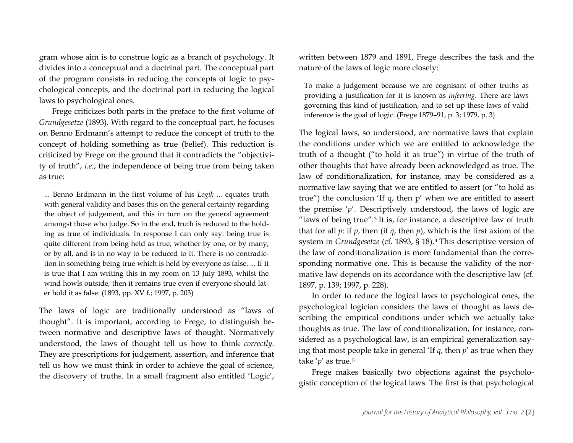gram whose aim is to construe logic as a branch of psychology. It divides into a conceptual and a doctrinal part. The conceptual part of the program consists in reducing the concepts of logic to psychological concepts, and the doctrinal part in reducing the logical laws to psychological ones.

Frege criticizes both parts in the preface to the first volume of *Grundgesetze* (1893). With regard to the conceptual part, he focuses on Benno Erdmann's attempt to reduce the concept of truth to the concept of holding something as true (belief). This reduction is criticized by Frege on the ground that it contradicts the "objectivity of truth", *i.e.*, the independence of being true from being taken as true:

... Benno Erdmann in the first volume of his *Logik* ... equates truth with general validity and bases this on the general certainty regarding the object of judgement, and this in turn on the general agreement amongst those who judge. So in the end, truth is reduced to the holding as true of individuals. In response I can only say: being true is quite different from being held as true, whether by one, or by many, or by all, and is in no way to be reduced to it. There is no contradiction in something being true which is held by everyone as false. ... If it is true that I am writing this in my room on 13 July 1893, whilst the wind howls outside, then it remains true even if everyone should later hold it as false. (1893, pp. XV f.; 1997, p. 203)

The laws of logic are traditionally understood as "laws of thought". It is important, according to Frege, to distinguish between normative and descriptive laws of thought. Normatively understood, the laws of thought tell us how to think *correctly*. They are prescriptions for judgement, assertion, and inference that tell us how we must think in order to achieve the goal of science, the discovery of truths. In a small fragment also entitled 'Logic',

written between 1879 and 1891, Frege describes the task and the nature of the laws of logic more closely:

To make a judgement because we are cognisant of other truths as providing a justification for it is known as *inferring*. There are laws governing this kind of justification, and to set up these laws of valid inference is the goal of logic. (Frege 1879–91, p. 3; 1979, p. 3)

The logical laws, so understood, are normative laws that explain the conditions under which we are entitled to acknowledge the truth of a thought ("to hold it as true") in virtue of the truth of other thoughts that have already been acknowledged as true. The law of conditionalization, for instance, may be considered as a normative law saying that we are entitled to assert (or "to hold as true") the conclusion 'If q, then p' when we are entitled to assert the premise '*p*'. Descriptively understood, the laws of logic are "laws of being true".[3](#page-16-0) It is, for instance, a descriptive law of truth that for all  $p$ : if  $p$ , then (if  $q$ , then  $p$ ), which is the first axiom of the system in *Grundgesetze* (cf. 1893, § 18).[4](#page-16-1) This descriptive version of the law of conditionalization is more fundamental than the corresponding normative one. This is because the validity of the normative law depends on its accordance with the descriptive law (cf. 1897, p. 139; 1997, p. 228).

In order to reduce the logical laws to psychological ones, the psychological logician considers the laws of thought as laws describing the empirical conditions under which we actually take thoughts as true. The law of conditionalization, for instance, considered as a psychological law, is an empirical generalization saying that most people take in general 'If *q*, then *p*' as true when they take '*p*' as true.[5](#page-16-2)

Frege makes basically two objections against the psychologistic conception of the logical laws. The first is that psychological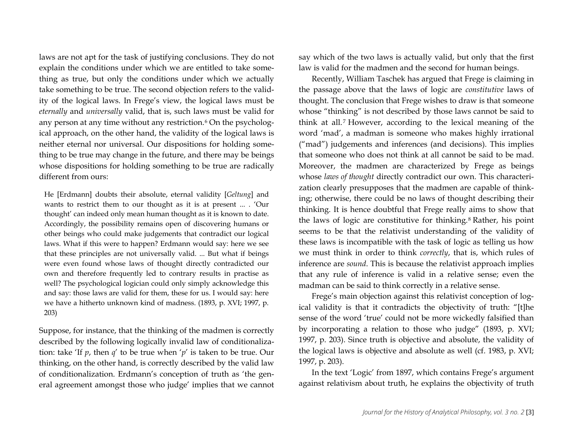laws are not apt for the task of justifying conclusions. They do not explain the conditions under which we are entitled to take something as true, but only the conditions under which we actually take something to be true. The second objection refers to the validity of the logical laws. In Frege's view, the logical laws must be *eternally* and *universally* valid, that is, such laws must be valid for any person at any time without any restriction.<sup>[6](#page-17-0)</sup> On the psychological approach, on the other hand, the validity of the logical laws is neither eternal nor universal. Our dispositions for holding something to be true may change in the future, and there may be beings whose dispositions for holding something to be true are radically different from ours:

He [Erdmann] doubts their absolute, eternal validity [*Geltung*] and wants to restrict them to our thought as it is at present ... . 'Our thought' can indeed only mean human thought as it is known to date. Accordingly, the possibility remains open of discovering humans or other beings who could make judgements that contradict our logical laws. What if this were to happen? Erdmann would say: here we see that these principles are not universally valid. ... But what if beings were even found whose laws of thought directly contradicted our own and therefore frequently led to contrary results in practise as well? The psychological logician could only simply acknowledge this and say: those laws are valid for them, these for us. I would say: here we have a hitherto unknown kind of madness. (1893, p. XVI; 1997, p. 203)

Suppose, for instance, that the thinking of the madmen is correctly described by the following logically invalid law of conditionalization: take 'If *p*, then *q*' to be true when '*p*' is taken to be true. Our thinking, on the other hand, is correctly described by the valid law of conditionalization. Erdmann's conception of truth as 'the general agreement amongst those who judge' implies that we cannot

say which of the two laws is actually valid, but only that the first law is valid for the madmen and the second for human beings.

Recently, William Taschek has argued that Frege is claiming in the passage above that the laws of logic are *constitutive* laws of thought. The conclusion that Frege wishes to draw is that someone whose "thinking" is not described by those laws cannot be said to think at all.<sup>[7](#page-17-1)</sup> However, according to the lexical meaning of the word 'mad', a madman is someone who makes highly irrational ("mad") judgements and inferences (and decisions). This implies that someone who does not think at all cannot be said to be mad. Moreover, the madmen are characterized by Frege as beings whose *laws of thought* directly contradict our own. This characterization clearly presupposes that the madmen are capable of thinking; otherwise, there could be no laws of thought describing their thinking. It is hence doubtful that Frege really aims to show that the laws of logic are constitutive for thinking.[8](#page-17-2) Rather, his point seems to be that the relativist understanding of the validity of these laws is incompatible with the task of logic as telling us how we must think in order to think *correctly*, that is, which rules of inference are *sound*. This is because the relativist approach implies that any rule of inference is valid in a relative sense; even the madman can be said to think correctly in a relative sense.

Frege's main objection against this relativist conception of logical validity is that it contradicts the objectivity of truth: "[t]he sense of the word 'true' could not be more wickedly falsified than by incorporating a relation to those who judge" (1893, p. XVI; 1997, p. 203). Since truth is objective and absolute, the validity of the logical laws is objective and absolute as well (cf. 1983, p. XVI; 1997, p. 203).

In the text 'Logic' from 1897, which contains Frege's argument against relativism about truth, he explains the objectivity of truth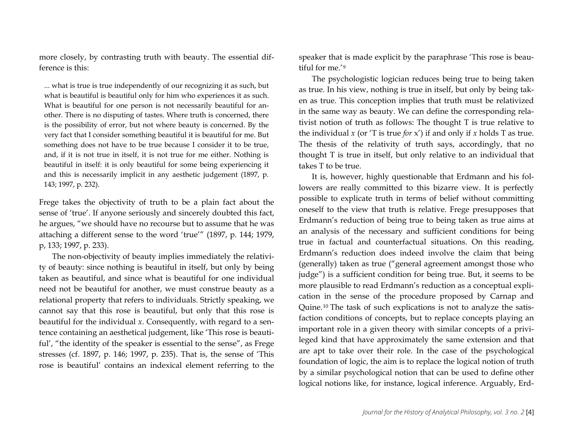more closely, by contrasting truth with beauty. The essential difference is this:

... what is true is true independently of our recognizing it as such, but what is beautiful is beautiful only for him who experiences it as such. What is beautiful for one person is not necessarily beautiful for another. There is no disputing of tastes. Where truth is concerned, there is the possibility of error, but not where beauty is concerned. By the very fact that I consider something beautiful it is beautiful for me. But something does not have to be true because I consider it to be true, and, if it is not true in itself, it is not true for me either. Nothing is beautiful in itself: it is only beautiful for some being experiencing it and this is necessarily implicit in any aesthetic judgement (1897, p. 143; 1997, p. 232).

Frege takes the objectivity of truth to be a plain fact about the sense of 'true'. If anyone seriously and sincerely doubted this fact, he argues, "we should have no recourse but to assume that he was attaching a different sense to the word 'true'" (1897, p. 144; 1979, p, 133; 1997, p. 233).

The non-objectivity of beauty implies immediately the relativity of beauty: since nothing is beautiful in itself, but only by being taken as beautiful, and since what is beautiful for one individual need not be beautiful for another, we must construe beauty as a relational property that refers to individuals. Strictly speaking, we cannot say that this rose is beautiful, but only that this rose is beautiful for the individual *x*. Consequently, with regard to a sentence containing an aesthetical judgement, like 'This rose is beautiful', "the identity of the speaker is essential to the sense", as Frege stresses (cf. 1897, p. 146; 1997, p. 235). That is, the sense of 'This rose is beautiful' contains an indexical element referring to the speaker that is made explicit by the paraphrase 'This rose is beautiful for me.'[9](#page-17-3)

The psychologistic logician reduces being true to being taken as true. In his view, nothing is true in itself, but only by being taken as true. This conception implies that truth must be relativized in the same way as beauty. We can define the corresponding relativist notion of truth as follows: The thought T is true relative to the individual  $x$  (or 'T is true *for*  $x'$ ) if and only if  $x$  holds T as true. The thesis of the relativity of truth says, accordingly, that no thought T is true in itself, but only relative to an individual that takes T to be true.

It is, however, highly questionable that Erdmann and his followers are really committed to this bizarre view. It is perfectly possible to explicate truth in terms of belief without committing oneself to the view that truth is relative. Frege presupposes that Erdmann's reduction of being true to being taken as true aims at an analysis of the necessary and sufficient conditions for being true in factual and counterfactual situations. On this reading, Erdmann's reduction does indeed involve the claim that being (generally) taken as true ("general agreement amongst those who judge") is a sufficient condition for being true. But, it seems to be more plausible to read Erdmann's reduction as a conceptual explication in the sense of the procedure proposed by Carnap and Quine.[10](#page-17-4) The task of such explications is not to analyze the satisfaction conditions of concepts, but to replace concepts playing an important role in a given theory with similar concepts of a privileged kind that have approximately the same extension and that are apt to take over their role. In the case of the psychological foundation of logic, the aim is to replace the logical notion of truth by a similar psychological notion that can be used to define other logical notions like, for instance, logical inference. Arguably, Erd-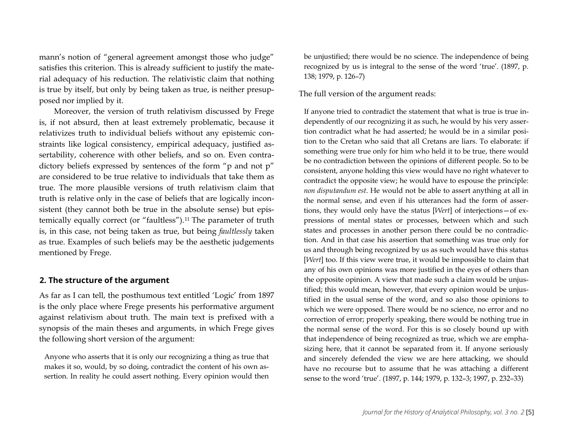mann's notion of "general agreement amongst those who judge" satisfies this criterion. This is already sufficient to justify the material adequacy of his reduction. The relativistic claim that nothing is true by itself, but only by being taken as true, is neither presupposed nor implied by it.

Moreover, the version of truth relativism discussed by Frege is, if not absurd, then at least extremely problematic, because it relativizes truth to individual beliefs without any epistemic constraints like logical consistency, empirical adequacy, justified assertability, coherence with other beliefs, and so on. Even contradictory beliefs expressed by sentences of the form "p and not p" are considered to be true relative to individuals that take them as true. The more plausible versions of truth relativism claim that truth is relative only in the case of beliefs that are logically inconsistent (they cannot both be true in the absolute sense) but epis-temically equally correct (or "faultless").<sup>[11](#page-17-5)</sup> The parameter of truth is, in this case, not being taken as true, but being *faultlessly* taken as true. Examples of such beliefs may be the aesthetic judgements mentioned by Frege.

#### **2. The structure of the argument**

As far as I can tell, the posthumous text entitled 'Logic' from 1897 is the only place where Frege presents his performative argument against relativism about truth. The main text is prefixed with a synopsis of the main theses and arguments, in which Frege gives the following short version of the argument:

Anyone who asserts that it is only our recognizing a thing as true that makes it so, would, by so doing, contradict the content of his own assertion. In reality he could assert nothing. Every opinion would then

be unjustified; there would be no science. The independence of being recognized by us is integral to the sense of the word 'true'. (1897, p. 138; 1979, p. 126–7)

#### The full version of the argument reads:

If anyone tried to contradict the statement that what is true is true independently of our recognizing it as such, he would by his very assertion contradict what he had asserted; he would be in a similar position to the Cretan who said that all Cretans are liars. To elaborate: if something were true only for him who held it to be true, there would be no contradiction between the opinions of different people. So to be consistent, anyone holding this view would have no right whatever to contradict the opposite view; he would have to espouse the principle: *non disputandum est*. He would not be able to assert anything at all in the normal sense, and even if his utterances had the form of assertions, they would only have the status [*Wert*] of interjections—of expressions of mental states or processes, between which and such states and processes in another person there could be no contradiction. And in that case his assertion that something was true only for us and through being recognized by us as such would have this status [*Wert*] too. If this view were true, it would be impossible to claim that any of his own opinions was more justified in the eyes of others than the opposite opinion. A view that made such a claim would be unjustified; this would mean, however, that every opinion would be unjustified in the usual sense of the word, and so also those opinions to which we were opposed. There would be no science, no error and no correction of error; properly speaking, there would be nothing true in the normal sense of the word. For this is so closely bound up with that independence of being recognized as true, which we are emphasizing here, that it cannot be separated from it. If anyone seriously and sincerely defended the view we are here attacking, we should have no recourse but to assume that he was attaching a different sense to the word 'true'. (1897, p. 144; 1979, p. 132–3; 1997, p. 232–33)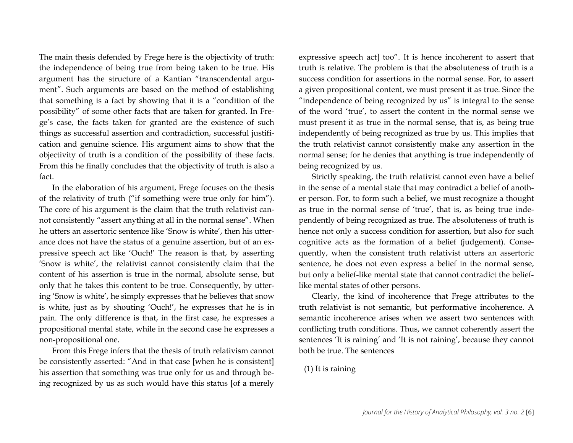The main thesis defended by Frege here is the objectivity of truth: the independence of being true from being taken to be true. His argument has the structure of a Kantian "transcendental argument". Such arguments are based on the method of establishing that something is a fact by showing that it is a "condition of the possibility" of some other facts that are taken for granted. In Frege's case, the facts taken for granted are the existence of such things as successful assertion and contradiction, successful justification and genuine science. His argument aims to show that the objectivity of truth is a condition of the possibility of these facts. From this he finally concludes that the objectivity of truth is also a fact.

In the elaboration of his argument, Frege focuses on the thesis of the relativity of truth ("if something were true only for him"). The core of his argument is the claim that the truth relativist cannot consistently "assert anything at all in the normal sense". When he utters an assertoric sentence like 'Snow is white', then his utterance does not have the status of a genuine assertion, but of an expressive speech act like 'Ouch!' The reason is that, by asserting 'Snow is white', the relativist cannot consistently claim that the content of his assertion is true in the normal, absolute sense, but only that he takes this content to be true. Consequently, by uttering 'Snow is white', he simply expresses that he believes that snow is white, just as by shouting 'Ouch!', he expresses that he is in pain. The only difference is that, in the first case, he expresses a propositional mental state, while in the second case he expresses a non-propositional one.

From this Frege infers that the thesis of truth relativism cannot be consistently asserted: "And in that case [when he is consistent] his assertion that something was true only for us and through being recognized by us as such would have this status [of a merely expressive speech act] too". It is hence incoherent to assert that truth is relative. The problem is that the absoluteness of truth is a success condition for assertions in the normal sense. For, to assert a given propositional content, we must present it as true. Since the "independence of being recognized by us" is integral to the sense of the word 'true', to assert the content in the normal sense we must present it as true in the normal sense, that is, as being true independently of being recognized as true by us. This implies that the truth relativist cannot consistently make any assertion in the normal sense; for he denies that anything is true independently of being recognized by us.

Strictly speaking, the truth relativist cannot even have a belief in the sense of a mental state that may contradict a belief of another person. For, to form such a belief, we must recognize a thought as true in the normal sense of 'true', that is, as being true independently of being recognized as true. The absoluteness of truth is hence not only a success condition for assertion, but also for such cognitive acts as the formation of a belief (judgement). Consequently, when the consistent truth relativist utters an assertoric sentence, he does not even express a belief in the normal sense, but only a belief-like mental state that cannot contradict the belieflike mental states of other persons.

Clearly, the kind of incoherence that Frege attributes to the truth relativist is not semantic, but performative incoherence. A semantic incoherence arises when we assert two sentences with conflicting truth conditions. Thus, we cannot coherently assert the sentences 'It is raining' and 'It is not raining', because they cannot both be true. The sentences

(1) It is raining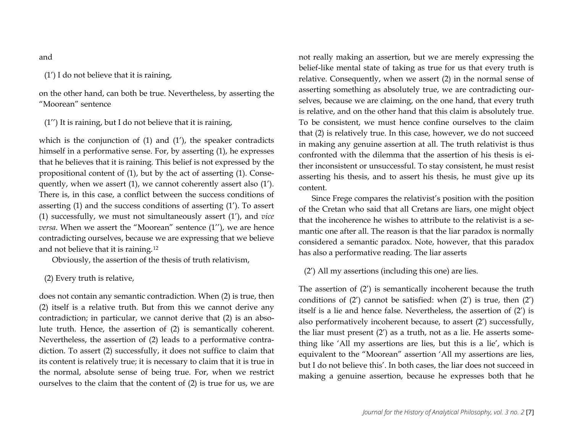#### and

(1') I do not believe that it is raining,

on the other hand, can both be true. Nevertheless, by asserting the "Moorean" sentence

(1'') It is raining, but I do not believe that it is raining,

which is the conjunction of  $(1)$  and  $(1')$ , the speaker contradicts himself in a performative sense. For, by asserting (1), he expresses that he believes that it is raining. This belief is not expressed by the propositional content of (1), but by the act of asserting (1). Consequently, when we assert (1), we cannot coherently assert also (1'). There is, in this case, a conflict between the success conditions of asserting (1) and the success conditions of asserting (1'). To assert (1) successfully, we must not simultaneously assert (1'), and *vice versa*. When we assert the "Moorean" sentence (1''), we are hence contradicting ourselves, because we are expressing that we believe and not believe that it is raining.[12](#page-17-6)

Obviously, the assertion of the thesis of truth relativism,

(2) Every truth is relative,

does not contain any semantic contradiction. When (2) is true, then (2) itself is a relative truth. But from this we cannot derive any contradiction; in particular, we cannot derive that (2) is an absolute truth. Hence, the assertion of (2) is semantically coherent. Nevertheless, the assertion of (2) leads to a performative contradiction. To assert (2) successfully, it does not suffice to claim that its content is relatively true; it is necessary to claim that it is true in the normal, absolute sense of being true. For, when we restrict ourselves to the claim that the content of (2) is true for us, we are

not really making an assertion, but we are merely expressing the belief-like mental state of taking as true for us that every truth is relative. Consequently, when we assert (2) in the normal sense of asserting something as absolutely true, we are contradicting ourselves, because we are claiming, on the one hand, that every truth is relative, and on the other hand that this claim is absolutely true. To be consistent, we must hence confine ourselves to the claim that (2) is relatively true. In this case, however, we do not succeed in making any genuine assertion at all. The truth relativist is thus confronted with the dilemma that the assertion of his thesis is either inconsistent or unsuccessful. To stay consistent, he must resist asserting his thesis, and to assert his thesis, he must give up its content.

Since Frege compares the relativist's position with the position of the Cretan who said that all Cretans are liars, one might object that the incoherence he wishes to attribute to the relativist is a semantic one after all. The reason is that the liar paradox is normally considered a semantic paradox. Note, however, that this paradox has also a performative reading. The liar asserts

(2') All my assertions (including this one) are lies.

The assertion of (2') is semantically incoherent because the truth conditions of  $(2')$  cannot be satisfied: when  $(2')$  is true, then  $(2')$ itself is a lie and hence false. Nevertheless, the assertion of (2') is also performatively incoherent because, to assert (2') successfully, the liar must present (2') as a truth, not as a lie. He asserts something like 'All my assertions are lies, but this is a lie', which is equivalent to the "Moorean" assertion 'All my assertions are lies, but I do not believe this'. In both cases, the liar does not succeed in making a genuine assertion, because he expresses both that he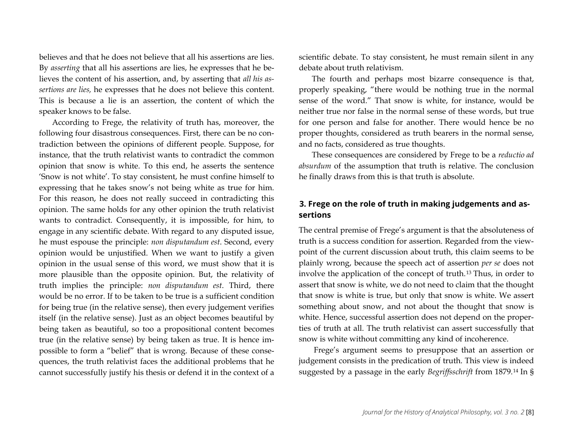believes and that he does not believe that all his assertions are lies. By *asserting* that all his assertions are lies, he expresses that he believes the content of his assertion, and, by asserting that *all his assertions are lies,* he expresses that he does not believe this content. This is because a lie is an assertion, the content of which the speaker knows to be false.

According to Frege, the relativity of truth has, moreover, the following four disastrous consequences. First, there can be no contradiction between the opinions of different people. Suppose, for instance, that the truth relativist wants to contradict the common opinion that snow is white. To this end, he asserts the sentence 'Snow is not white'. To stay consistent, he must confine himself to expressing that he takes snow's not being white as true for him. For this reason, he does not really succeed in contradicting this opinion. The same holds for any other opinion the truth relativist wants to contradict. Consequently, it is impossible, for him, to engage in any scientific debate. With regard to any disputed issue, he must espouse the principle: *non disputandum est*. Second, every opinion would be unjustified. When we want to justify a given opinion in the usual sense of this word, we must show that it is more plausible than the opposite opinion. But, the relativity of truth implies the principle: *non disputandum est*. Third, there would be no error. If to be taken to be true is a sufficient condition for being true (in the relative sense), then every judgement verifies itself (in the relative sense). Just as an object becomes beautiful by being taken as beautiful, so too a propositional content becomes true (in the relative sense) by being taken as true. It is hence impossible to form a "belief" that is wrong. Because of these consequences, the truth relativist faces the additional problems that he cannot successfully justify his thesis or defend it in the context of a scientific debate. To stay consistent, he must remain silent in any debate about truth relativism.

The fourth and perhaps most bizarre consequence is that, properly speaking, "there would be nothing true in the normal sense of the word." That snow is white, for instance, would be neither true nor false in the normal sense of these words, but true for one person and false for another. There would hence be no proper thoughts, considered as truth bearers in the normal sense, and no facts, considered as true thoughts.

These consequences are considered by Frege to be a *reductio ad absurdum* of the assumption that truth is relative. The conclusion he finally draws from this is that truth is absolute.

# **3. Frege on the role of truth in making judgements and assertions**

The central premise of Frege's argument is that the absoluteness of truth is a success condition for assertion. Regarded from the viewpoint of the current discussion about truth, this claim seems to be plainly wrong, because the speech act of assertion *per se* does not involve the application of the concept of truth.[13](#page-17-7) Thus, in order to assert that snow is white, we do not need to claim that the thought that snow is white is true, but only that snow is white. We assert something about snow, and not about the thought that snow is white. Hence, successful assertion does not depend on the properties of truth at all. The truth relativist can assert successfully that snow is white without committing any kind of incoherence.

Frege's argument seems to presuppose that an assertion or judgement consists in the predication of truth. This view is indeed suggested by a passage in the early *Begriffsschrift* from 1879.[14](#page-17-8) In §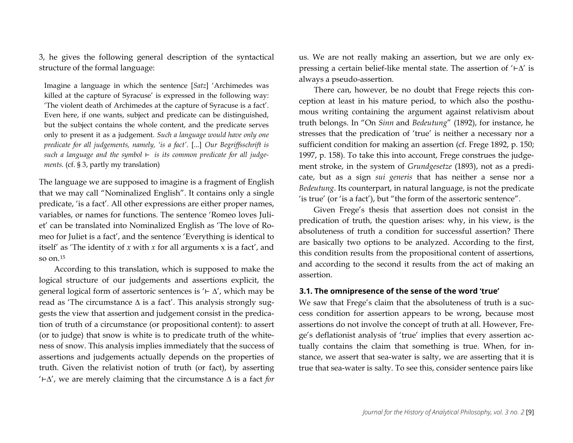3, he gives the following general description of the syntactical structure of the formal language:

Imagine a language in which the sentence [*Satz*] 'Archimedes was killed at the capture of Syracuse' is expressed in the following way: 'The violent death of Archimedes at the capture of Syracuse is a fact'. Even here, if one wants, subject and predicate can be distinguished, but the subject contains the whole content, and the predicate serves only to present it as a judgement. *Such a language would have only one predicate for all judgements, namely, 'is a fact'*. [...] *Our Begriffsschrift is such a language and the symbol* ⊢ *is its common predicate for all judgements.* (cf. § 3, partly my translation)

The language we are supposed to imagine is a fragment of English that we may call "Nominalized English". It contains only a single predicate, 'is a fact'. All other expressions are either proper names, variables, or names for functions. The sentence 'Romeo loves Juliet' can be translated into Nominalized English as 'The love of Romeo for Juliet is a fact', and the sentence 'Everything is identical to itself' as 'The identity of *x* with *x* for all arguments x is a fact', and so on. $15$ 

According to this translation, which is supposed to make the logical structure of our judgements and assertions explicit, the general logical form of assertoric sentences is '⊢ ∆', which may be read as 'The circumstance  $\Delta$  is a fact'. This analysis strongly suggests the view that assertion and judgement consist in the predication of truth of a circumstance (or propositional content): to assert (or to judge) that snow is white is to predicate truth of the whiteness of snow. This analysis implies immediately that the success of assertions and judgements actually depends on the properties of truth. Given the relativist notion of truth (or fact), by asserting '⊢∆', we are merely claiming that the circumstance ∆ is a fact *for*

us. We are not really making an assertion, but we are only expressing a certain belief-like mental state. The assertion of '⊢∆' is always a pseudo-assertion.

There can, however, be no doubt that Frege rejects this conception at least in his mature period, to which also the posthumous writing containing the argument against relativism about truth belongs. In "On *Sinn* and *Bedeutung*" (1892), for instance, he stresses that the predication of 'true' is neither a necessary nor a sufficient condition for making an assertion (cf. Frege 1892, p. 150; 1997, p. 158). To take this into account, Frege construes the judgement stroke, in the system of *Grundgesetze* (1893), not as a predicate, but as a sign *sui generis* that has neither a sense nor a *Bedeutung*. Its counterpart, in natural language, is not the predicate 'is true' (or 'is a fact'), but "the form of the assertoric sentence".

Given Frege's thesis that assertion does not consist in the predication of truth, the question arises: why, in his view, is the absoluteness of truth a condition for successful assertion? There are basically two options to be analyzed. According to the first, this condition results from the propositional content of assertions, and according to the second it results from the act of making an assertion.

#### **3.1. The omnipresence of the sense of the word 'true'**

We saw that Frege's claim that the absoluteness of truth is a success condition for assertion appears to be wrong, because most assertions do not involve the concept of truth at all. However, Frege's deflationist analysis of 'true' implies that every assertion actually contains the claim that something is true. When, for instance, we assert that sea-water is salty, we are asserting that it is true that sea-water is salty. To see this, consider sentence pairs like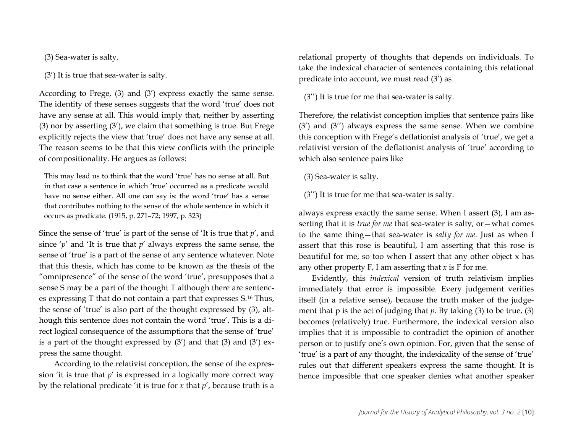(3) Sea-water is salty.

(3') It is true that sea-water is salty.

According to Frege, (3) and (3') express exactly the same sense. The identity of these senses suggests that the word 'true' does not have any sense at all. This would imply that, neither by asserting (3) nor by asserting (3'), we claim that something is true. But Frege explicitly rejects the view that 'true' does not have any sense at all. The reason seems to be that this view conflicts with the principle of compositionality. He argues as follows:

This may lead us to think that the word 'true' has no sense at all. But in that case a sentence in which 'true' occurred as a predicate would have no sense either. All one can say is: the word 'true' has a sense that contributes nothing to the sense of the whole sentence in which it occurs as predicate. (1915, p. 271–72; 1997, p. 323)

Since the sense of 'true' is part of the sense of 'It is true that *p*', and since '*p*' and 'It is true that *p*' always express the same sense, the sense of 'true' is a part of the sense of any sentence whatever. Note that this thesis, which has come to be known as the thesis of the "omnipresence" of the sense of the word 'true', presupposes that a sense S may be a part of the thought T although there are sentences expressing T that do not contain a part that expresses S.[16](#page-17-9) Thus, the sense of 'true' is also part of the thought expressed by (3), although this sentence does not contain the word 'true'. This is a direct logical consequence of the assumptions that the sense of 'true' is a part of the thought expressed by  $(3')$  and that  $(3)$  and  $(3')$  express the same thought.

According to the relativist conception, the sense of the expression 'it is true that *p*' is expressed in a logically more correct way by the relational predicate 'it is true for *x* that *p*', because truth is a relational property of thoughts that depends on individuals. To take the indexical character of sentences containing this relational predicate into account, we must read (3') as

(3'') It is true for me that sea-water is salty.

Therefore, the relativist conception implies that sentence pairs like (3') and (3'') always express the same sense. When we combine this conception with Frege's deflationist analysis of 'true', we get a relativist version of the deflationist analysis of 'true' according to which also sentence pairs like

(3) Sea-water is salty.

(3'') It is true for me that sea-water is salty.

always express exactly the same sense. When I assert (3), I am asserting that it is *true for me* that sea-water is salty, or—what comes to the same thing—that sea-water is *salty for me*. Just as when I assert that this rose is beautiful, I am asserting that this rose is beautiful for me, so too when I assert that any other object x has any other property F, I am asserting that *x* is F for me.

Evidently, this *indexical* version of truth relativism implies immediately that error is impossible. Every judgement verifies itself (in a relative sense), because the truth maker of the judgement that  $p$  is the act of judging that  $p$ . By taking (3) to be true, (3) becomes (relatively) true. Furthermore, the indexical version also implies that it is impossible to contradict the opinion of another person or to justify one's own opinion. For, given that the sense of 'true' is a part of any thought, the indexicality of the sense of 'true' rules out that different speakers express the same thought. It is hence impossible that one speaker denies what another speaker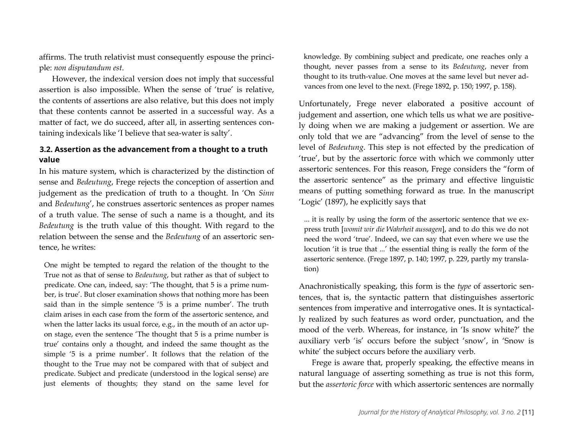affirms. The truth relativist must consequently espouse the principle: *non disputandum est*.

However, the indexical version does not imply that successful assertion is also impossible. When the sense of 'true' is relative, the contents of assertions are also relative, but this does not imply that these contents cannot be asserted in a successful way. As a matter of fact, we do succeed, after all, in asserting sentences containing indexicals like 'I believe that sea-water is salty'.

## **3.2. Assertion as the advancement from a thought to a truth value**

In his mature system, which is characterized by the distinction of sense and *Bedeutung*, Frege rejects the conception of assertion and judgement as the predication of truth to a thought. In 'On *Sinn* and *Bedeutung*', he construes assertoric sentences as proper names of a truth value. The sense of such a name is a thought, and its *Bedeutung* is the truth value of this thought. With regard to the relation between the sense and the *Bedeutung* of an assertoric sentence, he writes:

One might be tempted to regard the relation of the thought to the True not as that of sense to *Bedeutung*, but rather as that of subject to predicate. One can, indeed, say: 'The thought, that 5 is a prime number, is true'. But closer examination shows that nothing more has been said than in the simple sentence '5 is a prime number'. The truth claim arises in each case from the form of the assertoric sentence, and when the latter lacks its usual force, e.g., in the mouth of an actor upon stage, even the sentence 'The thought that 5 is a prime number is true' contains only a thought, and indeed the same thought as the simple '5 is a prime number'. It follows that the relation of the thought to the True may not be compared with that of subject and predicate. Subject and predicate (understood in the logical sense) are just elements of thoughts; they stand on the same level for

knowledge. By combining subject and predicate, one reaches only a thought, never passes from a sense to its *Bedeutung*, never from thought to its truth-value. One moves at the same level but never advances from one level to the next. (Frege 1892, p. 150; 1997, p. 158).

Unfortunately, Frege never elaborated a positive account of judgement and assertion, one which tells us what we are positively doing when we are making a judgement or assertion. We are only told that we are "advancing" from the level of sense to the level of *Bedeutung*. This step is not effected by the predication of 'true', but by the assertoric force with which we commonly utter assertoric sentences. For this reason, Frege considers the "form of the assertoric sentence" as the primary and effective linguistic means of putting something forward as true. In the manuscript 'Logic' (1897), he explicitly says that

... it is really by using the form of the assertoric sentence that we express truth [*womit wir die Wahrheit aussagen*], and to do this we do not need the word 'true'. Indeed, we can say that even where we use the locution 'it is true that ...' the essential thing is really the form of the assertoric sentence. (Frege 1897, p. 140; 1997, p. 229, partly my translation)

Anachronistically speaking, this form is the *type* of assertoric sentences, that is, the syntactic pattern that distinguishes assertoric sentences from imperative and interrogative ones. It is syntactically realized by such features as word order, punctuation, and the mood of the verb. Whereas, for instance, in 'Is snow white?' the auxiliary verb 'is' occurs before the subject 'snow', in 'Snow is white' the subject occurs before the auxiliary verb.

Frege is aware that, properly speaking, the effective means in natural language of asserting something as true is not this form, but the *assertoric force* with which assertoric sentences are normally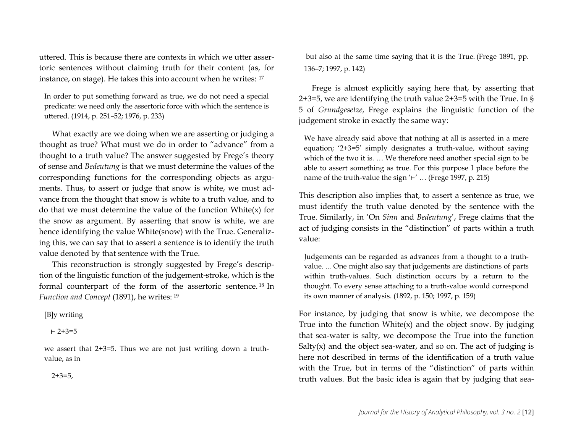uttered. This is because there are contexts in which we utter assertoric sentences without claiming truth for their content (as, for instance, on stage). He takes this into account when he writes: [17](#page-17-10)

In order to put something forward as true, we do not need a special predicate: we need only the assertoric force with which the sentence is uttered. (1914, p. 251–52; 1976, p. 233)

What exactly are we doing when we are asserting or judging a thought as true? What must we do in order to "advance" from a thought to a truth value? The answer suggested by Frege's theory of sense and *Bedeutung* is that we must determine the values of the corresponding functions for the corresponding objects as arguments. Thus, to assert or judge that snow is white, we must advance from the thought that snow is white to a truth value, and to do that we must determine the value of the function White $(x)$  for the snow as argument. By asserting that snow is white, we are hence identifying the value White(snow) with the True. Generalizing this, we can say that to assert a sentence is to identify the truth value denoted by that sentence with the True.

This reconstruction is strongly suggested by Frege's description of the linguistic function of the judgement-stroke, which is the formal counterpart of the form of the assertoric sentence. [18](#page-17-11) In *Function and Concept* (1891), he writes: [19](#page-17-12)

[B]y writing

⊢ 2+3=5

we assert that 2+3=5. Thus we are not just writing down a truthvalue, as in

 $2+3=5$ ,

but also at the same time saying that it is the True. (Frege 1891, pp. 136–7; 1997, p. 142)

Frege is almost explicitly saying here that, by asserting that 2+3=5, we are identifying the truth value 2+3=5 with the True. In § 5 of *Grundgesetze*, Frege explains the linguistic function of the judgement stroke in exactly the same way:

We have already said above that nothing at all is asserted in a mere equation; '2+3=5' simply designates a truth-value, without saying which of the two it is. … We therefore need another special sign to be able to assert something as true. For this purpose I place before the name of the truth-value the sign '⊢' … (Frege 1997, p. 215)

This description also implies that, to assert a sentence as true, we must identify the truth value denoted by the sentence with the True. Similarly, in 'On *Sinn* and *Bedeutung*', Frege claims that the act of judging consists in the "distinction" of parts within a truth value:

Judgements can be regarded as advances from a thought to a truthvalue. ... One might also say that judgements are distinctions of parts within truth-values. Such distinction occurs by a return to the thought. To every sense attaching to a truth-value would correspond its own manner of analysis. (1892, p. 150; 1997, p. 159)

For instance, by judging that snow is white, we decompose the True into the function White $(x)$  and the object snow. By judging that sea-water is salty, we decompose the True into the function Salty(x) and the object sea-water, and so on. The act of judging is here not described in terms of the identification of a truth value with the True, but in terms of the "distinction" of parts within truth values. But the basic idea is again that by judging that sea-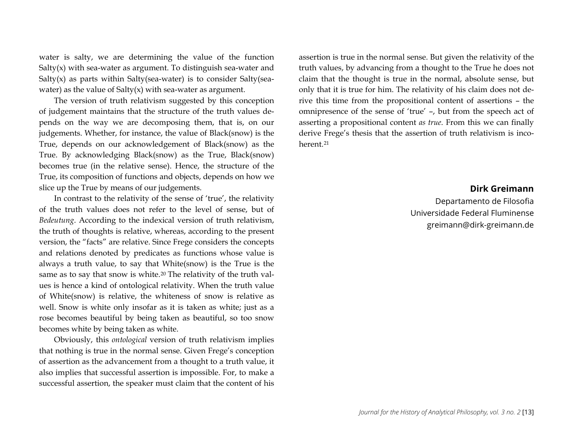water is salty, we are determining the value of the function Salty(x) with sea-water as argument. To distinguish sea-water and Salty(x) as parts within Salty(sea-water) is to consider Salty(seawater) as the value of  $Salty(x)$  with sea-water as argument.

The version of truth relativism suggested by this conception of judgement maintains that the structure of the truth values depends on the way we are decomposing them, that is, on our judgements. Whether, for instance, the value of Black(snow) is the True, depends on our acknowledgement of Black(snow) as the True. By acknowledging Black(snow) as the True, Black(snow) becomes true (in the relative sense). Hence, the structure of the True, its composition of functions and objects, depends on how we slice up the True by means of our judgements.

In contrast to the relativity of the sense of 'true', the relativity of the truth values does not refer to the level of sense, but of *Bedeutung*. According to the indexical version of truth relativism, the truth of thoughts is relative, whereas, according to the present version, the "facts" are relative. Since Frege considers the concepts and relations denoted by predicates as functions whose value is always a truth value, to say that White(snow) is the True is the same as to say that snow is white.[20](#page-17-13) The relativity of the truth values is hence a kind of ontological relativity. When the truth value of White(snow) is relative, the whiteness of snow is relative as well. Snow is white only insofar as it is taken as white; just as a rose becomes beautiful by being taken as beautiful, so too snow becomes white by being taken as white.

Obviously, this *ontological* version of truth relativism implies that nothing is true in the normal sense. Given Frege's conception of assertion as the advancement from a thought to a truth value, it also implies that successful assertion is impossible. For, to make a successful assertion, the speaker must claim that the content of his assertion is true in the normal sense. But given the relativity of the truth values, by advancing from a thought to the True he does not claim that the thought is true in the normal, absolute sense, but only that it is true for him. The relativity of his claim does not derive this time from the propositional content of assertions – the omnipresence of the sense of 'true' –, but from the speech act of asserting a propositional content *as true*. From this we can finally derive Frege's thesis that the assertion of truth relativism is incoherent.[21](#page-17-2)

#### **Dirk Greimann**

Departamento de Filosofia Universidade Federal Fluminense greimann@dirk-greimann.de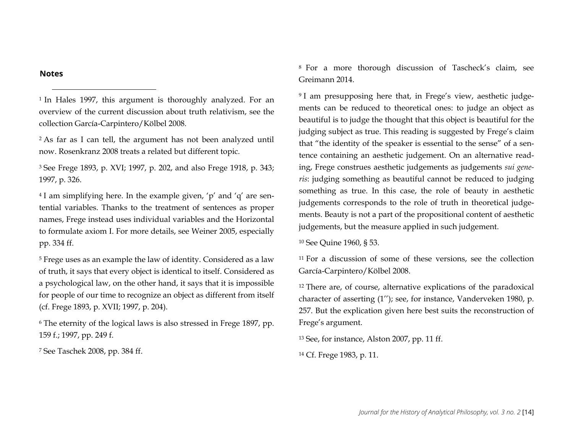#### <span id="page-14-0"></span>**Notes**

 $\overline{a}$ 

<sup>1</sup> In Hales 1997, this argument is thoroughly analyzed. For an overview of the current discussion about truth relativism, see the collection García-Carpintero/Kölbel 2008.

<sup>2</sup> As far as I can tell, the argument has not been analyzed until now. Rosenkranz 2008 treats a related but different topic.

<sup>3</sup> See Frege 1893, p. XVI; 1997, p. 202, and also Frege 1918, p. 343; 1997, p. 326.

<sup>4</sup> I am simplifying here. In the example given, 'p' and 'q' are sentential variables. Thanks to the treatment of sentences as proper names, Frege instead uses individual variables and the Horizontal to formulate axiom I. For more details, see Weiner 2005, especially pp. 334 ff.

<sup>5</sup> Frege uses as an example the law of identity. Considered as a law of truth, it says that every object is identical to itself. Considered as a psychological law, on the other hand, it says that it is impossible for people of our time to recognize an object as different from itself (cf. Frege 1893, p. XVII; 1997, p. 204).

<sup>6</sup> The eternity of the logical laws is also stressed in Frege 1897, pp. 159 f.; 1997, pp. 249 f.

<sup>7</sup> See Taschek 2008, pp. 384 ff.

<sup>8</sup> For a more thorough discussion of Tascheck's claim, see Greimann 2014.

<sup>9</sup> I am presupposing here that, in Frege's view, aesthetic judgements can be reduced to theoretical ones: to judge an object as beautiful is to judge the thought that this object is beautiful for the judging subject as true. This reading is suggested by Frege's claim that "the identity of the speaker is essential to the sense" of a sentence containing an aesthetic judgement. On an alternative reading, Frege construes aesthetic judgements as judgements *sui generis*: judging something as beautiful cannot be reduced to judging something as true. In this case, the role of beauty in aesthetic judgements corresponds to the role of truth in theoretical judgements. Beauty is not a part of the propositional content of aesthetic judgements, but the measure applied in such judgement.

<sup>10</sup> See Quine 1960, § 53.

<sup>11</sup> For a discussion of some of these versions, see the collection García-Carpintero/Kölbel 2008.

<sup>12</sup> There are, of course, alternative explications of the paradoxical character of asserting (1''); see, for instance, Vanderveken 1980, p. 257. But the explication given here best suits the reconstruction of Frege's argument.

<sup>13</sup> See, for instance, Alston 2007, pp. 11 ff.

<sup>14</sup> Cf. Frege 1983, p. 11.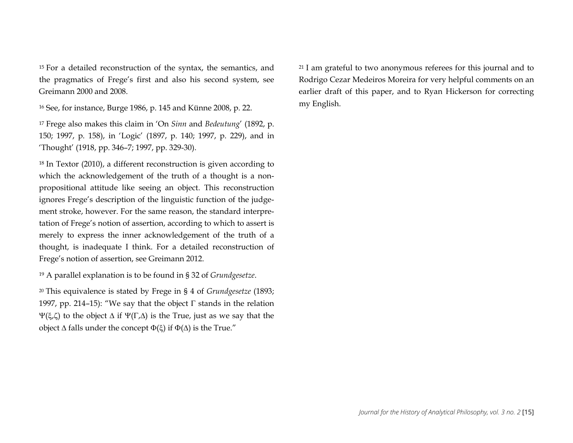<span id="page-15-0"></span><sup>15</sup> For a detailed reconstruction of the syntax, the semantics, and the pragmatics of Frege's first and also his second system, see Greimann 2000 and 2008.

<sup>16</sup> See, for instance, Burge 1986, p. 145 and Künne 2008, p. 22.

<sup>17</sup> Frege also makes this claim in 'On *Sinn* and *Bedeutung*' (1892, p. 150; 1997, p. 158), in 'Logic' (1897, p. 140; 1997, p. 229), and in 'Thought' (1918, pp. 346–7; 1997, pp. 329-30).

<sup>18</sup> In Textor (2010), a different reconstruction is given according to which the acknowledgement of the truth of a thought is a nonpropositional attitude like seeing an object. This reconstruction ignores Frege's description of the linguistic function of the judgement stroke, however. For the same reason, the standard interpretation of Frege's notion of assertion, according to which to assert is merely to express the inner acknowledgement of the truth of a thought, is inadequate I think. For a detailed reconstruction of Frege's notion of assertion, see Greimann 2012.

<sup>19</sup> A parallel explanation is to be found in § 32 of *Grundgesetze*.

<sup>20</sup> This equivalence is stated by Frege in § 4 of *Grundgesetze* (1893; 1997, pp. 214–15): "We say that the object  $\Gamma$  stands in the relation Ψ(ξ,ζ) to the object ∆ if Ψ(Γ,∆) is the True, just as we say that the object  $\Delta$  falls under the concept Φ(ξ) if Φ( $\Delta$ ) is the True."

<sup>21</sup> I am grateful to two anonymous referees for this journal and to Rodrigo Cezar Medeiros Moreira for very helpful comments on an earlier draft of this paper, and to Ryan Hickerson for correcting my English.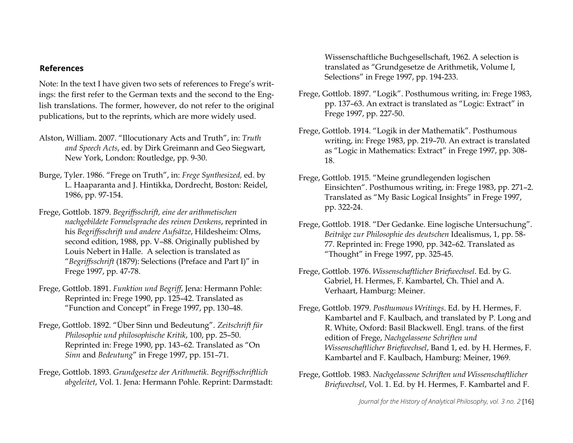#### <span id="page-16-0"></span>**References**

Note: In the text I have given two sets of references to Frege's writings: the first refer to the German texts and the second to the English translations. The former, however, do not refer to the original publications, but to the reprints, which are more widely used.

- Alston, William. 2007. "Illocutionary Acts and Truth", in: *Truth and Speech Acts*, ed. by Dirk Greimann and Geo Siegwart, New York, London: Routledge, pp. 9-30.
- Burge, Tyler. 1986. "Frege on Truth", in: *Frege Synthesized,* ed. by L. Haaparanta and J. Hintikka, Dordrecht, Boston: Reidel, 1986, pp. 97-154.
- Frege, Gottlob. 1879. *Begriffsschrift, eine der arithmetischen nachgebildete Formelsprache des reinen Denkens*, reprinted in his *Begriffsschrift und andere Aufsätze*, Hildesheim: Olms, second edition, 1988, pp. V–88. Originally published by Louis Nebert in Halle. A selection is translated as "*Begriffsschrift* (1879): Selections (Preface and Part I)" in Frege 1997, pp. 47-78.
- Frege, Gottlob. 1891. *Funktion und Begriff*, Jena: Hermann Pohle: Reprinted in: Frege 1990, pp. 125–42. Translated as "Function and Concept" in Frege 1997, pp. 130–48.
- Frege, Gottlob. 1892. "Über Sinn und Bedeutung". *Zeitschrift für Philosophie und philosophische Kritik*, 100, pp. 25–50. Reprinted in: Frege 1990, pp. 143–62. Translated as "On *Sinn* and *Bedeutung*" in Frege 1997, pp. 151–71.
- Frege, Gottlob. 1893. *Grundgesetze der Arithmetik. Begriffsschriftlich abgeleitet*, Vol. 1. Jena: Hermann Pohle. Reprint: Darmstadt:

<span id="page-16-2"></span><span id="page-16-1"></span>Wissenschaftliche Buchgesellschaft, 1962. A selection is translated as "Grundgesetze de Arithmetik, Volume I, Selections" in Frege 1997, pp. 194-233.

- Frege, Gottlob. 1897. "Logik". Posthumous writing, in: Frege 1983, pp. 137–63. An extract is translated as "Logic: Extract" in Frege 1997, pp. 227-50.
- Frege, Gottlob. 1914. "Logik in der Mathematik". Posthumous writing, in: Frege 1983, pp. 219–70. An extract is translated as "Logic in Mathematics: Extract" in Frege 1997, pp. 308- 18.
- Frege, Gottlob. 1915. "Meine grundlegenden logischen Einsichten". Posthumous writing, in: Frege 1983, pp. 271–2. Translated as "My Basic Logical Insights" in Frege 1997, pp. 322-24.
- Frege, Gottlob. 1918. "Der Gedanke. Eine logische Untersuchung". *Beiträge zur Philosophie des deutschen* Idealismus, 1, pp. 58- 77. Reprinted in: Frege 1990, pp. 342–62. Translated as "Thought" in Frege 1997, pp. 325-45.
- Frege, Gottlob. 1976. *Wissenschaftlicher Briefwechsel*. Ed. by G. Gabriel, H. Hermes, F. Kambartel, Ch. Thiel and A. Verhaart, Hamburg: Meiner.
- Frege, Gottlob. 1979. *Posthumous Writings*. Ed. by H. Hermes, F. Kambartel and F. Kaulbach, and translated by P. Long and R. White, Oxford: Basil Blackwell. Engl. trans. of the first edition of Frege, *Nachgelassene Schriften und Wissenschaftlicher Briefwechsel*, Band 1, ed. by H. Hermes, F. Kambartel and F. Kaulbach, Hamburg: Meiner, 1969.
- Frege, Gottlob. 1983. *Nachgelassene Schriften und Wissenschaftlicher Briefwechsel*, Vol. 1. Ed. by H. Hermes, F. Kambartel and F.